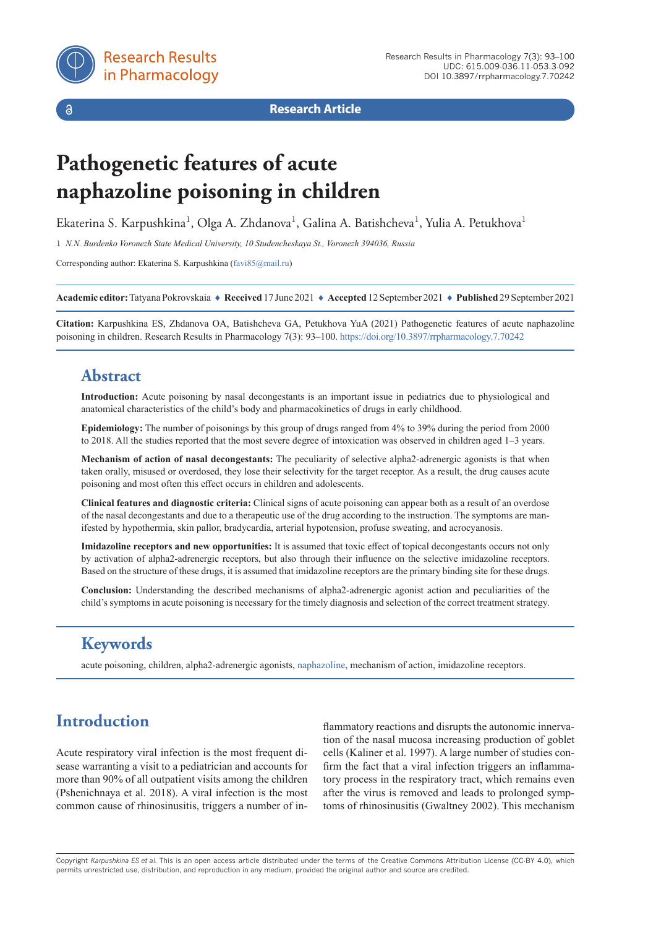

 $\delta$ 

**Research Article**

# **Pathogenetic features of acute naphazoline poisoning in children**

Ekaterina S. Karpushkina<sup>1</sup>, Olga A. Zhdanova<sup>1</sup>, Galina A. Batishcheva<sup>1</sup>, Yulia A. Petukhova<sup>1</sup>

1 *N.N. Burdenko Voronezh State Medical University, 10 Studencheskaya St., Voronezh 394036, Russia*

Corresponding author: Ekaterina S. Karpushkina ([favi85@mail.ru\)](mailto:favi85%40mail.ru?subject=)

**Academic editor:** Tatyana Pokrovskaia ♦ **Received** 17 June 2021 ♦ **Accepted** 12 September 2021 ♦ **Published** 29 September 2021

**Citation:** Karpushkina ES, Zhdanova OA, Batishcheva GA, Petukhova YuA (2021) Pathogenetic features of acute naphazoline poisoning in children. Research Results in Pharmacology 7(3): 93–100. <https://doi.org/10.3897/rrpharmacology.7.70242>

### **Abstract**

**Introduction:** Acute poisoning by nasal decongestants is an important issue in pediatrics due to physiological and anatomical characteristics of the child's body and pharmacokinetics of drugs in early childhood.

**Epidemiology:** The number of poisonings by this group of drugs ranged from 4% to 39% during the period from 2000 to 2018. All the studies reported that the most severe degree of intoxication was observed in children aged 1–3 years.

**Mechanism of action of nasal decongestants:** The peculiarity of selective alpha2-adrenergic agonists is that when taken orally, misused or overdosed, they lose their selectivity for the target receptor. As a result, the drug causes acute poisoning and most often this effect occurs in children and adolescents.

**Clinical features and diagnostic criteria:** Clinical signs of acute poisoning can appear both as a result of an overdose of the nasal decongestants and due to a therapeutic use of the drug according to the instruction. The symptoms are manifested by hypothermia, skin pallor, bradycardia, arterial hypotension, profuse sweating, and acrocyanosis.

**Imidazoline receptors and new opportunities:** It is assumed that toxic effect of topical decongestants occurs not only by activation of alpha2-adrenergic receptors, but also through their influence on the selective imidazoline receptors. Based on the structure of these drugs, it is assumed that imidazoline receptors are the primary binding site for these drugs.

**Conclusion:** Understanding the described mechanisms of alpha2-adrenergic agonist action and peculiarities of the child's symptoms in acute poisoning is necessary for the timely diagnosis and selection of the correct treatment strategy.

## **Keywords**

acute poisoning, children, alpha2-adrenergic agonists, [naphazoline](https://pubchem.ncbi.nlm.nih.gov/compound/Naphazoline), mechanism of action, imidazoline receptors.

# **Introduction**

Acute respiratory viral infection is the most frequent disease warranting a visit to a pediatrician and accounts for more than 90% of all outpatient visits among the children (Pshenichnaya et al. 2018). A viral infection is the most common cause of rhinosinusitis, triggers a number of in-

flammatory reactions and disrupts the autonomic innervation of the nasal mucosa increasing production of goblet cells (Kaliner et al. 1997). A large number of studies confirm the fact that a viral infection triggers an inflammatory process in the respiratory tract, which remains even after the virus is removed and leads to prolonged symptoms of rhinosinusitis (Gwaltney 2002). This mechanism

Copyright *Karpushkina ES et al.* This is an open access article distributed under the terms of the Creative Commons Attribution License (CC-BY 4.0), which permits unrestricted use, distribution, and reproduction in any medium, provided the original author and source are credited.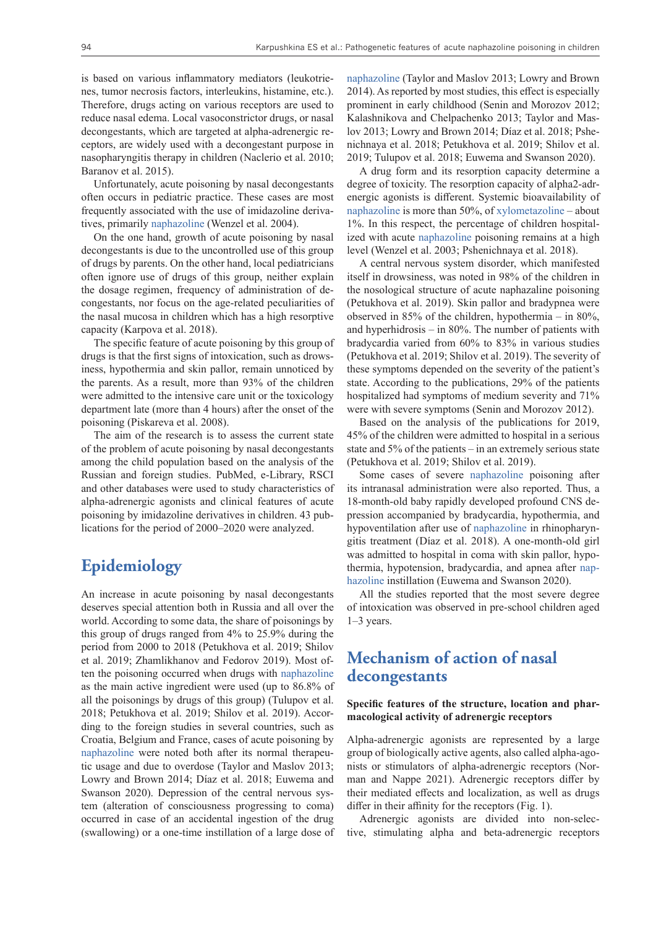is based on various inflammatory mediators (leukotrienes, tumor necrosis factors, interleukins, histamine, etc.). Therefore, drugs acting on various receptors are used to reduce nasal edema. Local vasoconstrictor drugs, or nasal decongestants, which are targeted at alpha-adrenergic receptors, are widely used with a decongestant purpose in nasopharyngitis therapy in children (Naclerio et al. 2010; Baranov et al. 2015).

Unfortunately, acute poisoning by nasal decongestants often occurs in pediatric practice. These cases are most frequently associated with the use of imidazoline derivatives, primarily [naphazoline](https://pubchem.ncbi.nlm.nih.gov/compound/Naphazoline) (Wenzel et al. 2004).

On the one hand, growth of acute poisoning by nasal decongestants is due to the uncontrolled use of this group of drugs by parents. On the other hand, local pediatricians often ignore use of drugs of this group, neither explain the dosage regimen, frequency of administration of decongestants, nor focus on the age-related peculiarities of the nasal mucosa in children which has a high resorptive capacity (Karpova et al. 2018).

The specific feature of acute poisoning by this group of drugs is that the first signs of intoxication, such as drowsiness, hypothermia and skin pallor, remain unnoticed by the parents. As a result, more than 93% of the children were admitted to the intensive care unit or the toxicology department late (more than 4 hours) after the onset of the poisoning (Piskareva et al. 2008).

The aim of the research is to assess the current state of the problem of acute poisoning by nasal decongestants among the child population based on the analysis of the Russian and foreign studies. PubMed, e-Library, RSCI and other databases were used to study characteristics of alpha-adrenergic agonists and clinical features of acute poisoning by imidazoline derivatives in children. 43 publications for the period of 2000–2020 were analyzed.

### **Epidemiology**

An increase in acute poisoning by nasal decongestants deserves special attention both in Russia and all over the world. According to some data, the share of poisonings by this group of drugs ranged from 4% to 25.9% during the period from 2000 to 2018 (Petukhova et al. 2019; Shilov et al. 2019; Zhamlikhanov and Fedorov 2019). Most often the poisoning occurred when drugs with [naphazoline](https://pubchem.ncbi.nlm.nih.gov/compound/Naphazoline) as the main active ingredient were used (up to 86.8% of all the poisonings by drugs of this group) (Tulupov et al. 2018; Petukhova et al. 2019; Shilov et al. 2019). According to the foreign studies in several countries, such as Croatia, Belgium and France, cases of acute poisoning by [naphazoline](https://pubchem.ncbi.nlm.nih.gov/compound/Naphazoline) were noted both after its normal therapeutic usage and due to overdose (Taylor and Maslov 2013; Lowry and Brown 2014; Díaz et al. 2018; Euwema and Swanson 2020). Depression of the central nervous system (alteration of consciousness progressing to coma) occurred in case of an accidental ingestion of the drug (swallowing) or a one-time instillation of a large dose of [naphazoline](https://pubchem.ncbi.nlm.nih.gov/compound/Naphazoline) (Taylor and Maslov 2013; Lowry and Brown 2014). As reported by most studies, this effect is especially prominent in early childhood (Senin and Morozov 2012; Kalashnikova and Chelpachenko 2013; Taylor and Maslov 2013; Lowry and Brown 2014; Díaz et al. 2018; Pshenichnaya et al. 2018; Petukhova et al. 2019; Shilov et al. 2019; Tulupov et al. 2018; Euwema and Swanson 2020).

A drug form and its resorption capacity determine a degree of toxicity. The resorption capacity of alpha2-adrenergic agonists is different. Systemic bioavailability of [naphazoline](https://pubchem.ncbi.nlm.nih.gov/compound/Naphazoline) is more than 50%, of [xylometazoline](https://pubchem.ncbi.nlm.nih.gov/compound/Xylometazoline) – about 1%. In this respect, the percentage of children hospitalized with acute [naphazoline](https://pubchem.ncbi.nlm.nih.gov/compound/Naphazoline) poisoning remains at a high level (Wenzel et al. 2003; Pshenichnaya et al. 2018).

A central nervous system disorder, which manifested itself in drowsiness, was noted in 98% of the children in the nosological structure of acute naphazaline poisoning (Petukhova et al. 2019). Skin pallor and bradypnea were observed in 85% of the children, hypothermia – in 80%, and hyperhidrosis – in 80%. The number of patients with bradycardia varied from 60% to 83% in various studies (Petukhova et al. 2019; Shilov et al. 2019). The severity of these symptoms depended on the severity of the patient's state. According to the publications, 29% of the patients hospitalized had symptoms of medium severity and 71% were with severe symptoms (Senin and Morozov 2012).

Based on the analysis of the publications for 2019, 45% of the children were admitted to hospital in a serious state and 5% of the patients – in an extremely serious state (Petukhova et al. 2019; Shilov et al. 2019).

Some cases of severe [naphazoline](https://pubchem.ncbi.nlm.nih.gov/compound/Naphazoline) poisoning after its intranasal administration were also reported. Thus, a 18-month-old baby rapidly developed profound CNS depression accompanied by bradycardia, hypothermia, and hypoventilation after use of [naphazoline](https://pubchem.ncbi.nlm.nih.gov/compound/Naphazoline) in rhinopharyngitis treatment (Díaz et al. 2018). A one-month-old girl was admitted to hospital in coma with skin pallor, hypothermia, hypotension, bradycardia, and apnea after [nap](https://pubchem.ncbi.nlm.nih.gov/compound/Naphazoline)[hazoline](https://pubchem.ncbi.nlm.nih.gov/compound/Naphazoline) instillation (Euwema and Swanson 2020).

All the studies reported that the most severe degree of intoxication was observed in pre-school children aged 1–3 years.

### **Mechanism of action of nasal decongestants**

#### **Specific features of the structure, location and pharmacological activity of adrenergic receptors**

Alpha-adrenergic agonists are represented by a large group of biologically active agents, also called alpha-agonists or stimulators of alpha-adrenergic receptors (Norman and Nappe 2021). Adrenergic receptors differ by their mediated effects and localization, as well as drugs differ in their affinity for the receptors (Fig. 1).

Adrenergic agonists are divided into non-selective, stimulating alpha and beta-adrenergic receptors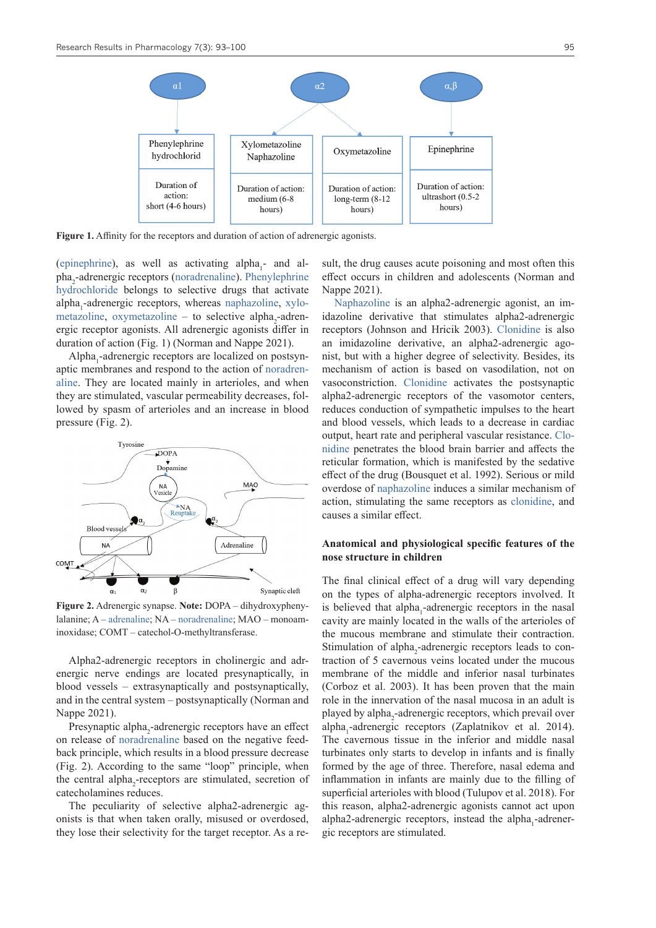

**Figure 1.** Affinity for the receptors and duration of action of adrenergic agonists.

[\(epinephrine\)](https://pubchem.ncbi.nlm.nih.gov/compound/Epinephrine), as well as activating  $alpha_1$ - and al-pha<sub>2</sub>-adrenergic receptors [\(noradrenaline](https://pubchem.ncbi.nlm.nih.gov/compound/Norepinephrine)). [Phenylephrine](https://pubchem.ncbi.nlm.nih.gov/compound/Phenylephrine) [hydrochloride](https://pubchem.ncbi.nlm.nih.gov/compound/Phenylephrine) belongs to selective drugs that activate alpha<sub>1</sub>-adrenergic receptors, whereas [naphazoline,](https://pubchem.ncbi.nlm.nih.gov/compound/Naphazoline) [xylo](https://pubchem.ncbi.nlm.nih.gov/compound/Xylometazoline)[metazoline,](https://pubchem.ncbi.nlm.nih.gov/compound/Xylometazoline) [oxymetazoline](https://pubchem.ncbi.nlm.nih.gov/compound/Oxymetazoline) – to selective alpha<sub>2</sub>-adrenergic receptor agonists. All adrenergic agonists differ in duration of action (Fig. 1) (Norman and Nappe 2021).

Alpha<sub>1</sub>-adrenergic receptors are localized on postsynaptic membranes and respond to the action of [noradren](https://pubchem.ncbi.nlm.nih.gov/compound/Norepinephrine)[aline.](https://pubchem.ncbi.nlm.nih.gov/compound/Norepinephrine) They are located mainly in arterioles, and when they are stimulated, vascular permeability decreases, followed by spasm of arterioles and an increase in blood pressure (Fig. 2).



**Figure 2.** Adrenergic synapse. **Note:** DOPA – dihydroxyphenylalanine; A – [adrenaline;](https://pubchem.ncbi.nlm.nih.gov/compound/Epinephrine) NA – [noradrenaline](https://pubchem.ncbi.nlm.nih.gov/compound/Norepinephrine); MAO – monoaminoxidase; COMT – catechol-O-methyltransferase.

Alpha2-adrenergic receptors in cholinergic and adrenergic nerve endings are located presynaptically, in blood vessels – extrasynaptically and postsynaptically, and in the central system – postsynaptically (Norman and Nappe 2021).

Presynaptic alpha<sub>2</sub>-adrenergic receptors have an effect on release of [noradrenaline](https://pubchem.ncbi.nlm.nih.gov/compound/Norepinephrine) based on the negative feedback principle, which results in a blood pressure decrease (Fig. 2). According to the same "loop" principle, when the central alpha<sub>2</sub>-receptors are stimulated, secretion of catecholamines reduces.

The peculiarity of selective alpha2-adrenergic agonists is that when taken orally, misused or overdosed, they lose their selectivity for the target receptor. As a result, the drug causes acute poisoning and most often this effect occurs in children and adolescents (Norman and Nappe 2021).

[Naphazoline](https://pubchem.ncbi.nlm.nih.gov/compound/Naphazoline) is an alpha2-adrenergic agonist, an imidazoline derivative that stimulates alpha2-adrenergic receptors (Johnson and Hricik 2003). [Clonidine](https://pubchem.ncbi.nlm.nih.gov/compound/Clonidine) is also an imidazoline derivative, an alpha2-adrenergic agonist, but with a higher degree of selectivity. Besides, its mechanism of action is based on vasodilation, not on vasoconstriction. [Clonidine](https://pubchem.ncbi.nlm.nih.gov/compound/Clonidine) activates the postsynaptic alpha2-adrenergic receptors of the vasomotor centers, reduces conduction of sympathetic impulses to the heart and blood vessels, which leads to a decrease in cardiac output, heart rate and peripheral vascular resistance. [Clo](https://pubchem.ncbi.nlm.nih.gov/compound/Clonidine)[nidine](https://pubchem.ncbi.nlm.nih.gov/compound/Clonidine) penetrates the blood brain barrier and affects the reticular formation, which is manifested by the sedative effect of the drug (Bousquet et al. 1992). Serious or mild overdose of [naphazoline](https://pubchem.ncbi.nlm.nih.gov/compound/Naphazoline) induces a similar mechanism of action, stimulating the same receptors as [clonidine](https://pubchem.ncbi.nlm.nih.gov/compound/Clonidine), and causes a similar effect.

#### **Anatomical and physiological specific features of the nose structure in children**

The final clinical effect of a drug will vary depending on the types of alpha-adrenergic receptors involved. It is believed that alpha<sub>1</sub>-adrenergic receptors in the nasal cavity are mainly located in the walls of the arterioles of the mucous membrane and stimulate their contraction. Stimulation of alpha<sub>2</sub>-adrenergic receptors leads to contraction of 5 cavernous veins located under the mucous membrane of the middle and inferior nasal turbinates (Corboz et al. 2003). It has been proven that the main role in the innervation of the nasal mucosa in an adult is played by alpha<sub>2</sub>-adrenergic receptors, which prevail over alpha<sub>1</sub>-adrenergic receptors (Zaplatnikov et al. 2014). The cavernous tissue in the inferior and middle nasal turbinates only starts to develop in infants and is finally formed by the age of three. Therefore, nasal edema and inflammation in infants are mainly due to the filling of superficial arterioles with blood (Tulupov et al. 2018). For this reason, alpha2-adrenergic agonists cannot act upon alpha2-adrenergic receptors, instead the alpha<sub>1</sub>-adrenergic receptors are stimulated.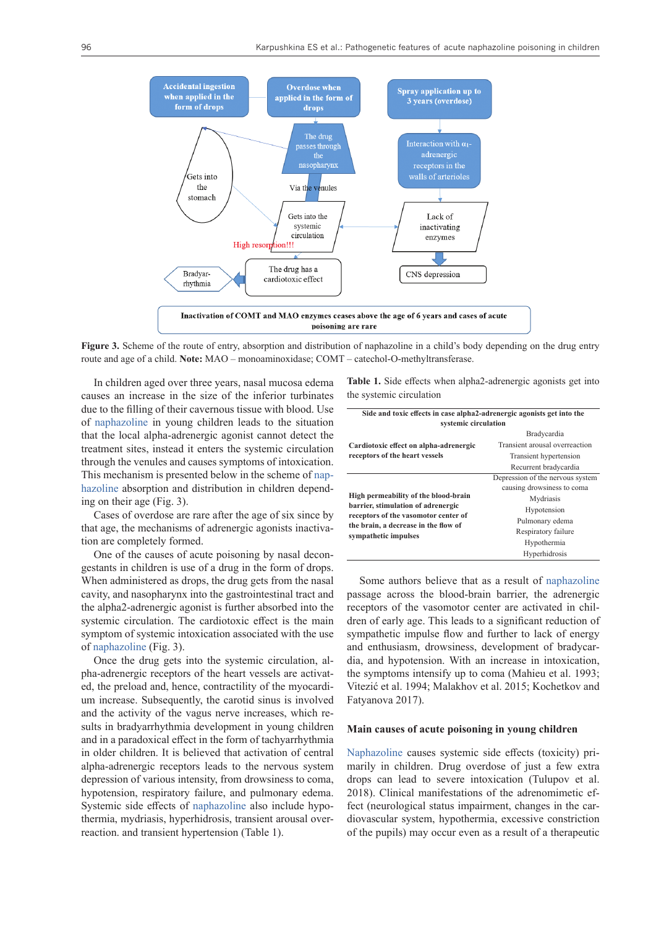

**Figure 3.** Scheme of the route of entry, absorption and distribution of naphazoline in a child's body depending on the drug entry route and age of a child. **Note:** MAO – monoaminoxidase; COMT – catechol-O-methyltransferase.

In children aged over three years, nasal mucosa edema causes an increase in the size of the inferior turbinates due to the filling of their cavernous tissue with blood. Use of [naphazoline](https://pubchem.ncbi.nlm.nih.gov/compound/Naphazoline) in young children leads to the situation that the local alpha-adrenergic agonist cannot detect the treatment sites, instead it enters the systemic circulation through the venules and causes symptoms of intoxication. This mechanism is presented below in the scheme of [nap](https://pubchem.ncbi.nlm.nih.gov/compound/Naphazoline)[hazoline](https://pubchem.ncbi.nlm.nih.gov/compound/Naphazoline) absorption and distribution in children depending on their age (Fig. 3).

Cases of overdose are rare after the age of six since by that age, the mechanisms of adrenergic agonists inactivation are completely formed.

One of the causes of acute poisoning by nasal decongestants in children is use of a drug in the form of drops. When administered as drops, the drug gets from the nasal cavity, and nasopharynx into the gastrointestinal tract and the alpha2-adrenergic agonist is further absorbed into the systemic circulation. The cardiotoxic effect is the main symptom of systemic intoxication associated with the use of [naphazoline](https://pubchem.ncbi.nlm.nih.gov/compound/Naphazoline) (Fig. 3).

Once the drug gets into the systemic circulation, alpha-adrenergic receptors of the heart vessels are activated, the preload and, hence, contractility of the myocardium increase. Subsequently, the carotid sinus is involved and the activity of the vagus nerve increases, which results in bradyarrhythmia development in young children and in a paradoxical effect in the form of tachyarrhythmia in older children. It is believed that activation of central alpha-adrenergic receptors leads to the nervous system depression of various intensity, from drowsiness to coma, hypotension, respiratory failure, and pulmonary edema. Systemic side effects of [naphazoline](https://pubchem.ncbi.nlm.nih.gov/compound/Naphazoline) also include hypothermia, mydriasis, hyperhidrosis, transient arousal overreaction. and transient hypertension (Table 1).

**Table 1.** Side effects when alpha2-adrenergic agonists get into the systemic circulation

| Side and toxic effects in case alpha2-adrenergic agonists get into the<br>systemic circulation                                                                                     |                                  |
|------------------------------------------------------------------------------------------------------------------------------------------------------------------------------------|----------------------------------|
|                                                                                                                                                                                    |                                  |
| Cardiotoxic effect on alpha-adrenergic<br>receptors of the heart vessels                                                                                                           | Transient arousal overreaction   |
|                                                                                                                                                                                    | Transient hypertension           |
|                                                                                                                                                                                    | Recurrent bradycardia            |
| High permeability of the blood-brain<br>barrier, stimulation of adrenergic<br>receptors of the vasomotor center of<br>the brain, a decrease in the flow of<br>sympathetic impulses | Depression of the nervous system |
|                                                                                                                                                                                    | causing drowsiness to coma       |
|                                                                                                                                                                                    | Mydriasis                        |
|                                                                                                                                                                                    | Hypotension                      |
|                                                                                                                                                                                    | Pulmonary edema                  |
|                                                                                                                                                                                    | Respiratory failure              |
|                                                                                                                                                                                    | Hypothermia                      |
|                                                                                                                                                                                    | Hyperhidrosis                    |

Some authors believe that as a result of [naphazoline](https://pubchem.ncbi.nlm.nih.gov/compound/Naphazoline) passage across the blood-brain barrier, the adrenergic receptors of the vasomotor center are activated in children of early age. This leads to a significant reduction of sympathetic impulse flow and further to lack of energy and enthusiasm, drowsiness, development of bradycardia, and hypotension. With an increase in intoxication, the symptoms intensify up to coma (Mahieu et al. 1993; Vitezić et al. 1994; Malakhov et al. 2015; Kochetkov and Fatyanova 2017).

#### **Main causes of acute poisoning in young children**

[Naphazoline](https://pubchem.ncbi.nlm.nih.gov/compound/Naphazoline) causes systemic side effects (toxicity) primarily in children. Drug overdose of just a few extra drops can lead to severe intoxication (Tulupov et al. 2018). Clinical manifestations of the adrenomimetic effect (neurological status impairment, changes in the cardiovascular system, hypothermia, excessive constriction of the pupils) may occur even as a result of a therapeutic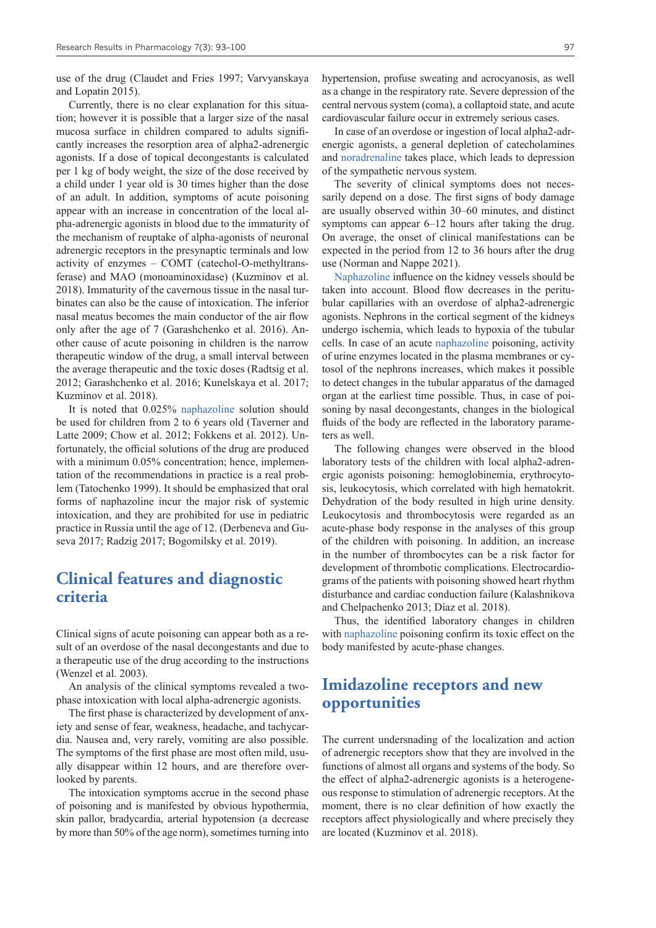use of the drug (Claudet and Fries 1997; Varvyanskaya and Lopatin 2015).

Currently, there is no clear explanation for this situation; however it is possible that a larger size of the nasal mucosa surface in children compared to adults significantly increases the resorption area of alpha2-adrenergic agonists. If a dose of topical decongestants is calculated per 1 kg of body weight, the size of the dose received by a child under 1 year old is 30 times higher than the dose of an adult. In addition, symptoms of acute poisoning appear with an increase in concentration of the local alpha-adrenergic agonists in blood due to the immaturity of the mechanism of reuptake of alpha-agonists of neuronal adrenergic receptors in the presynaptic terminals and low activity of enzymes – COMT (catechol-O-methyltransferase) and MAO (monoaminoxidase) (Kuzminov et al. 2018). Immaturity of the cavernous tissue in the nasal turbinates can also be the cause of intoxication. The inferior nasal meatus becomes the main conductor of the air flow only after the age of 7 (Garashchenko et al. 2016). Another cause of acute poisoning in children is the narrow therapeutic window of the drug, a small interval between the average therapeutic and the toxic doses (Radtsig et al. 2012; Garashchenko et al. 2016; Kunelskaya et al. 2017; Kuzminov et al. 2018).

It is noted that 0.025% [naphazoline](https://pubchem.ncbi.nlm.nih.gov/compound/Naphazoline) solution should be used for children from 2 to 6 years old (Taverner and Latte 2009; Chow et al. 2012; Fokkens et al. 2012). Unfortunately, the official solutions of the drug are produced with a minimum  $0.05\%$  concentration; hence, implementation of the recommendations in practice is a real problem (Tatochenko 1999). It should be emphasized that oral forms of naphazoline incur the major risk of systemic intoxication, and they are prohibited for use in pediatric practice in Russia until the age of 12. (Derbeneva and Guseva 2017; Radzig 2017; Bogomilsky et al. 2019).

### **Clinical features and diagnostic criteria**

Clinical signs of acute poisoning can appear both as a result of an overdose of the nasal decongestants and due to a therapeutic use of the drug according to the instructions (Wenzel et al. 2003).

An analysis of the clinical symptoms revealed a twophase intoxication with local alpha-adrenergic agonists.

The first phase is characterized by development of anxiety and sense of fear, weakness, headache, and tachycardia. Nausea and, very rarely, vomiting are also possible. The symptoms of the first phase are most often mild, usually disappear within 12 hours, and are therefore overlooked by parents.

The intoxication symptoms accrue in the second phase of poisoning and is manifested by obvious hypothermia, skin pallor, bradycardia, arterial hypotension (a decrease by more than 50% of the age norm), sometimes turning into hypertension, profuse sweating and acrocyanosis, as well as a change in the respiratory rate. Severe depression of the central nervous system (coma), a collaptoid state, and acute cardiovascular failure occur in extremely serious cases.

In case of an overdose or ingestion of local alpha2-adrenergic agonists, a general depletion of catecholamines and [noradrenaline](https://pubchem.ncbi.nlm.nih.gov/compound/Norepinephrine) takes place, which leads to depression of the sympathetic nervous system.

The severity of clinical symptoms does not necessarily depend on a dose. The first signs of body damage are usually observed within 30–60 minutes, and distinct symptoms can appear 6–12 hours after taking the drug. On average, the onset of clinical manifestations can be expected in the period from 12 to 36 hours after the drug use (Norman and Nappe 2021).

[Naphazoline](https://pubchem.ncbi.nlm.nih.gov/compound/Naphazoline) influence on the kidney vessels should be taken into account. Blood flow decreases in the peritubular capillaries with an overdose of alpha2-adrenergic agonists. Nephrons in the cortical segment of the kidneys undergo ischemia, which leads to hypoxia of the tubular cells. In case of an acute [naphazoline](https://pubchem.ncbi.nlm.nih.gov/compound/Naphazoline) poisoning, activity of urine enzymes located in the plasma membranes or cytosol of the nephrons increases, which makes it possible to detect changes in the tubular apparatus of the damaged organ at the earliest time possible. Thus, in case of poisoning by nasal decongestants, changes in the biological fluids of the body are reflected in the laboratory parameters as well.

The following changes were observed in the blood laboratory tests of the children with local alpha2-adrenergic agonists poisoning: hemoglobinemia, erythrocytosis, leukocytosis, which correlated with high hematokrit. Dehydration of the body resulted in high urine density. Leukocytosis and thrombocytosis were regarded as an acute-phase body response in the analyses of this group of the children with poisoning. In addition, an increase in the number of thrombocytes can be a risk factor for development of thrombotic complications. Electrocardiograms of the patients with poisoning showed heart rhythm disturbance and cardiac conduction failure (Kalashnikova and Chelpachenko 2013; Díaz et al. 2018).

Thus, the identified laboratory changes in children with [naphazoline](https://pubchem.ncbi.nlm.nih.gov/compound/Naphazoline) poisoning confirm its toxic effect on the body manifested by acute-phase changes.

### **Imidazoline receptors and new opportunities**

The current undersnading of the localization and action of adrenergic receptors show that they are involved in the functions of almost all organs and systems of the body. So the effect of alpha2-adrenergic agonists is a heterogeneous response to stimulation of adrenergic receptors. At the moment, there is no clear definition of how exactly the receptors affect physiologically and where precisely they are located (Kuzminov et al. 2018).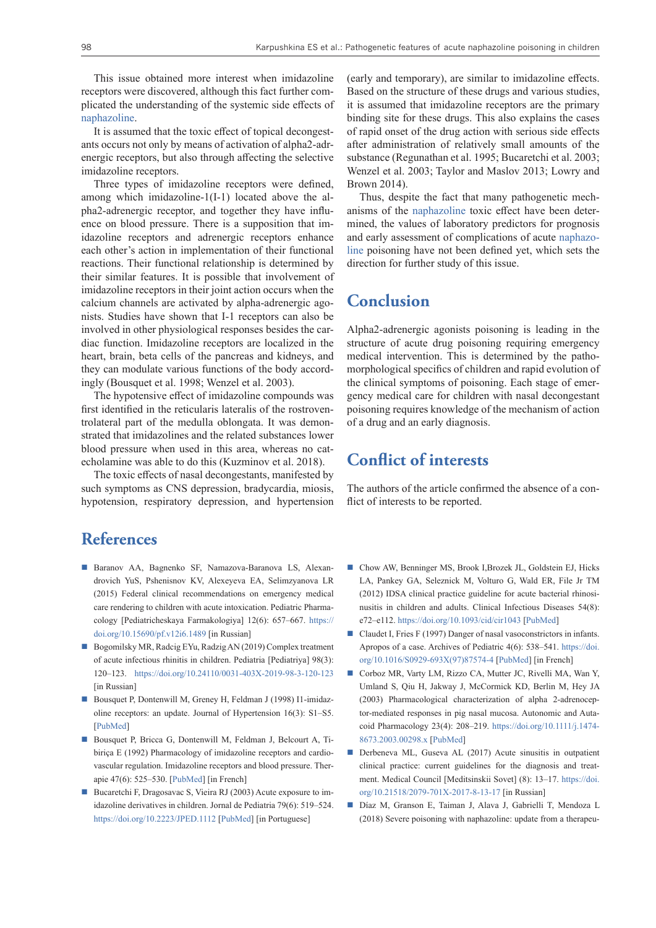This issue obtained more interest when imidazoline receptors were discovered, although this fact further complicated the understanding of the systemic side effects of [naphazoline](https://pubchem.ncbi.nlm.nih.gov/compound/Naphazoline).

It is assumed that the toxic effect of topical decongestants occurs not only by means of activation of alpha2-adrenergic receptors, but also through affecting the selective imidazoline receptors.

Three types of imidazoline receptors were defined, among which imidazoline-1(I-1) located above the alpha2-adrenergic receptor, and together they have influence on blood pressure. There is a supposition that imidazoline receptors and adrenergic receptors enhance each other's action in implementation of their functional reactions. Their functional relationship is determined by their similar features. It is possible that involvement of imidazoline receptors in their joint action occurs when the calcium channels are activated by alpha-adrenergic agonists. Studies have shown that I-1 receptors can also be involved in other physiological responses besides the cardiac function. Imidazoline receptors are localized in the heart, brain, beta cells of the pancreas and kidneys, and they can modulate various functions of the body accordingly (Bousquet et al. 1998; Wenzel et al. 2003).

The hypotensive effect of imidazoline compounds was first identified in the reticularis lateralis of the rostroventrolateral part of the medulla oblongata. It was demonstrated that imidazolines and the related substances lower blood pressure when used in this area, whereas no catecholamine was able to do this (Kuzminov et al. 2018).

The toxic effects of nasal decongestants, manifested by such symptoms as CNS depression, bradycardia, miosis, hypotension, respiratory depression, and hypertension

### **References**

- Baranov AA, Bagnenko SF, Namazova-Baranova LS, Alexandrovich YuS, Pshenisnov KV, Alexeyeva EA, Selimzyanova LR (2015) Federal clinical recommendations on emergency medical care rendering to children with acute intoxication. Pediatric Pharmacology [Pediatricheskaya Farmakologiya] 12(6): 657–667. [https://](https://doi.org/10.15690/pf.v12i6.1489) [doi.org/10.15690/pf.v12i6.1489](https://doi.org/10.15690/pf.v12i6.1489) [in Russian]
- Bogomilsky MR, Radcig EYu, Radzig AN (2019) Complex treatment of acute infectious rhinitis in children. Pediatria [Pediatriya] 98(3): 120–123. <https://doi.org/10.24110/0031-403X-2019-98-3-120-123> [in Russian]
- Bousquet P, Dontenwill M, Greney H, Feldman J (1998) I1-imidazoline receptors: an update. Journal of Hypertension 16(3): S1–S5. [[PubMed\]](https://pubmed.ncbi.nlm.nih.gov/9747903/)
- Bousquet P, Bricca G, Dontenwill M, Feldman J, Belcourt A, Tibiriça E (1992) Pharmacology of imidazoline receptors and cardiovascular regulation. Imidazoline receptors and blood pressure. Therapie 47(6): 525–530. [[PubMed\]](https://pubmed.ncbi.nlm.nih.gov/1301644/) [in French]
- Bucaretchi F, Dragosavac S, Vieira RJ (2003) Acute exposure to imidazoline derivatives in children. Jornal de Pediatria 79(6): 519–524. <https://doi.org/10.2223/JPED.1112> [[PubMed\]](https://pubmed.ncbi.nlm.nih.gov/14685449/) [in Portuguese]

(early and temporary), are similar to imidazoline effects. Based on the structure of these drugs and various studies, it is assumed that imidazoline receptors are the primary binding site for these drugs. This also explains the cases of rapid onset of the drug action with serious side effects after administration of relatively small amounts of the substance (Regunathan et al. 1995; Bucaretchi et al. 2003; Wenzel et al. 2003; Taylor and Maslov 2013; Lowry and Brown 2014).

Thus, despite the fact that many pathogenetic mechanisms of the [naphazoline](https://pubchem.ncbi.nlm.nih.gov/compound/Naphazoline) toxic effect have been determined, the values of laboratory predictors for prognosis and early assessment of complications of acute [naphazo](https://pubchem.ncbi.nlm.nih.gov/compound/Naphazoline)[line](https://pubchem.ncbi.nlm.nih.gov/compound/Naphazoline) poisoning have not been defined yet, which sets the direction for further study of this issue.

### **Conclusion**

Alpha2-adrenergic agonists poisoning is leading in the structure of acute drug poisoning requiring emergency medical intervention. This is determined by the pathomorphological specifics of children and rapid evolution of the clinical symptoms of poisoning. Each stage of emergency medical care for children with nasal decongestant poisoning requires knowledge of the mechanism of action of a drug and an early diagnosis.

### **Conflict of interests**

The authors of the article confirmed the absence of a conflict of interests to be reported.

- Chow AW, Benninger MS, Brook I, Brozek JL, Goldstein EJ, Hicks LA, Pankey GA, Seleznick M, Volturo G, Wald ER, File Jr TM (2012) IDSA clinical practice guideline for acute bacterial rhinosinusitis in children and adults. Clinical Infectious Diseases 54(8): e72–e112.<https://doi.org/10.1093/cid/cir1043>[[PubMed\]](https://pubmed.ncbi.nlm.nih.gov/22438350/)
- Claudet I, Fries F (1997) Danger of nasal vasoconstrictors in infants. Apropos of a case. Archives of Pediatric 4(6): 538–541. [https://doi.](https://doi.org/10.1016/S0929-693X(97)87574-4) [org/10.1016/S0929-693X\(97\)87574-4](https://doi.org/10.1016/S0929-693X(97)87574-4) [[PubMed\]](https://pubmed.ncbi.nlm.nih.gov/9239269/) [in French]
- Corboz MR, Varty LM, Rizzo CA, Mutter JC, Rivelli MA, Wan Y, Umland S, Qiu H, Jakway J, McCormick KD, Berlin M, Hey JA (2003) Pharmacological characterization of alpha 2-adrenoceptor-mediated responses in pig nasal mucosa. Autonomic and Autacoid Pharmacology 23(4): 208–219. [https://doi.org/10.1111/j.1474-](https://doi.org/10.1111/j.1474-8673.2003.00298.x) [8673.2003.00298.x](https://doi.org/10.1111/j.1474-8673.2003.00298.x) [[PubMed](https://pubmed.ncbi.nlm.nih.gov/15084187/)]
- Derbeneva ML, Guseva AL (2017) Acute sinusitis in outpatient clinical practice: current guidelines for the diagnosis and treatment. Medical Council [Meditsinskii Sovet] (8): 13–17. [https://doi.](https://doi.org/10.21518/2079-701X-2017-8-13-17) [org/10.21518/2079-701X-2017-8-13-17](https://doi.org/10.21518/2079-701X-2017-8-13-17) [in Russian]
- Díaz M, Granson E, Taiman J, Alava J, Gabrielli T, Mendoza L (2018) Severe poisoning with naphazoline: update from a therapeu-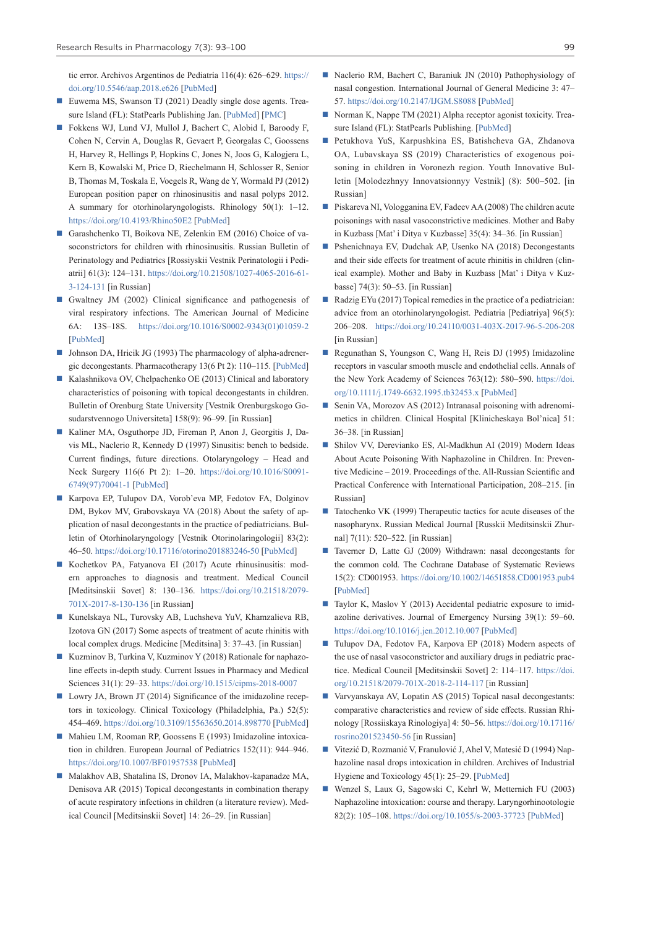tic error. Archivos Argentinos de Pediatría 116(4): 626–629. [https://](https://doi.org/10.5546/aap.2018.e626) [doi.org/10.5546/aap.2018.e626](https://doi.org/10.5546/aap.2018.e626) [[PubMed\]](https://pubmed.ncbi.nlm.nih.gov/30016045/)

- Euwema MS, Swanson TJ (2021) Deadly single dose agents. Treasure Island (FL): StatPearls Publishing Jan. [[PubMed\]](https://pubmed.ncbi.nlm.nih.gov/28722879/) [\[PMC](https://www.ncbi.nlm.nih.gov/books/NBK441849/)]
- Fokkens WJ, Lund VJ, Mullol J, Bachert C, Alobid I, Baroody F, Cohen N, Cervin A, Douglas R, Gevaert P, Georgalas C, Goossens H, Harvey R, Hellings P, Hopkins C, Jones N, Joos G, Kalogjera L, Kern B, Kowalski M, Price D, Riechelmann H, Schlosser R, Senior B, Thomas M, Toskala E, Voegels R, Wang de Y, Wormald PJ (2012) European position paper on rhinosinusitis and nasal polyps 2012. A summary for otorhinolaryngologists. Rhinology 50(1): 1–12. <https://doi.org/10.4193/Rhino50E2> [[PubMed\]](https://pubmed.ncbi.nlm.nih.gov/22469599/)
- Garashchenko TI, Boikova NE, Zelenkin EM (2016) Choice of vasoconstrictors for children with rhinosinusitis. Russian Bulletin of Perinatology and Pediatrics [Rossiyskii Vestnik Perinatologii i Pediatrii] 61(3): 124–131. [https://doi.org/10.21508/1027-4065-2016-61-](https://doi.org/10.21508/1027-4065-2016-61-3-124-131) [3-124-131](https://doi.org/10.21508/1027-4065-2016-61-3-124-131) [in Russian]
- Gwaltney JM (2002) Clinical significance and pathogenesis of viral respiratory infections. The American Journal of Medicine 6A: 13S–18S. [https://doi.org/10.1016/S0002-9343\(01\)01059-2](https://doi.org/10.1016/S0002-9343(01)01059-2) [\[PubMed](https://pubmed.ncbi.nlm.nih.gov/11955455/)]
- Johnson DA, Hricik JG (1993) The pharmacology of alpha-adrenergic decongestants. Pharmacotherapy 13(6 Pt 2): 110–115. [[PubMed\]](https://pubmed.ncbi.nlm.nih.gov/7507588/)
- Kalashnikova OV, Chelpachenko OE (2013) Clinical and laboratory characteristics of poisoning with topical decongestants in children. Bulletin of Orenburg State University [Vestnik Orenburgskogo Gosudarstvennogo Universiteta] 158(9): 96–99. [in Russian]
- Kaliner MA, Osguthorpe JD, Fireman P, Anon J, Georgitis J, Davis ML, Naclerio R, Kennedy D (1997) Sinusitis: bench to bedside. Current findings, future directions. Otolaryngology – Head and Neck Surgery 116(6 Pt 2): 1–20. [https://doi.org/10.1016/S0091-](https://doi.org/10.1016/S0091-6749(97)70041-1) [6749\(97\)70041-1](https://doi.org/10.1016/S0091-6749(97)70041-1) [\[PubMed](https://pubmed.ncbi.nlm.nih.gov/9212028/)]
- Karpova EP, Tulupov DA, Vorob'eva MP, Fedotov FA, Dolginov DM, Bykov MV, Grabovskaya VA (2018) About the safety of application of nasal decongestants in the practice of pediatricians. Bulletin of Otorhinolaryngology [Vestnik Otorinolaringologii] 83(2): 46–50.<https://doi.org/10.17116/otorino201883246-50> [[PubMed](https://pubmed.ncbi.nlm.nih.gov/29697655/)]
- Kochetkov PA, Fatyanova EI (2017) Acute rhinusinusitis: modern approaches to diagnosis and treatment. Medical Council [Meditsinskii Sovet] 8: 130–136. [https://doi.org/10.21518/2079-](https://doi.org/10.21518/2079-701X-2017-8-130-136) [701X-2017-8-130-136](https://doi.org/10.21518/2079-701X-2017-8-130-136) [in Russian]
- Kunelskaya NL, Turovsky AB, Luchsheva YuV, Khamzalieva RB, Izotova GN (2017) Some aspects of treatment of acute rhinitis with local complex drugs. Medicine [Meditsina] 3: 37–43. [in Russian]
- Kuzminov B, Turkina V, Kuzminov Y (2018) Rationale for naphazoline effects in-depth study. Current Issues in Pharmacy and Medical Sciences 31(1): 29–33. <https://doi.org/10.1515/cipms-2018-0007>
- Lowry JA, Brown JT (2014) Significance of the imidazoline receptors in toxicology. Clinical Toxicology (Philadelphia, Pa.) 52(5): 454–469.<https://doi.org/10.3109/15563650.2014.898770>[\[PubMed\]](https://pubmed.ncbi.nlm.nih.gov/24666288/)
- Mahieu LM, Rooman RP, Goossens E (1993) Imidazoline intoxication in children. European Journal of Pediatrics 152(11): 944–946. <https://doi.org/10.1007/BF01957538>[\[PubMed](https://pubmed.ncbi.nlm.nih.gov/8276031/)]
- Мalakhov AB, Shatalina IS, Dronov IA, Malakhov-kapanadze MA, Denisova AR (2015) Topical decongestants in combination therapy of acute respiratory infections in children (a literature review). Medical Council [Meditsinskii Sovet] 14: 26–29. [in Russian]
- Naclerio RM, Bachert C, Baraniuk JN (2010) Pathophysiology of nasal congestion. International Journal of General Medicine 3: 47– 57. <https://doi.org/10.2147/IJGM.S8088> [[PubMed\]](https://pubmed.ncbi.nlm.nih.gov/20463823/)
- Norman K, Nappe TM (2021) Alpha receptor agonist toxicity. Trea-sure Island (FL): StatPearls Publishing. [\[PubMed](https://pubmed.ncbi.nlm.nih.gov/29763199/)]
- Petukhova YuS, Karpushkina ES, Batishcheva GA, Zhdanova OA, Lubavskaya SS (2019) Characteristics of exogenous poisoning in children in Voronezh region. Youth Innovative Bulletin [Molodezhnyy Innovatsionnyy Vestnik] (8): 500–502. [in Russian]
- Piskareva NI, Vologganina EV, Fadeev AA (2008) The children acute poisonings with nasal vasoconstrictive medicines. Mother and Baby in Kuzbass [Mat' i Ditya v Kuzbasse] 35(4): 34–36. [in Russian]
- Pshenichnaya EV, Dudchak AP, Usenko NA (2018) Decongestants and their side effects for treatment of acute rhinitis in children (clinical example). Mother and Baby in Kuzbass [Mat' i Ditya v Kuzbasse] 74(3): 50–53. [in Russian]
- Radzig EYu (2017) Topical remedies in the practice of a pediatrician: advice from an otorhinolaryngologist. Pediatria [Pediatriya] 96(5): 206–208. <https://doi.org/10.24110/0031-403X-2017-96-5-206-208> [in Russian]
- Regunathan S, Youngson C, Wang H, Reis DJ (1995) Imidazoline receptors in vascular smooth muscle and endothelial cells. Annals of the New York Academy of Sciences 763(12): 580–590. [https://doi.](https://doi.org/10.1111/j.1749-6632.1995.tb32453.x) [org/10.1111/j.1749-6632.1995.tb32453.x](https://doi.org/10.1111/j.1749-6632.1995.tb32453.x) [\[PubMed\]](https://pubmed.ncbi.nlm.nih.gov/7677378/)
- Senin VA, Morozov AS (2012) Intranasal poisoning with adrenomimetics in children. Clinical Hospital [Klinicheskaya Bol'nica] 51: 36–38. [in Russian]
- Shilov VV, Derevianko ES, Al-Madkhun AI (2019) Modern Ideas About Acute Poisoning With Naphazoline in Children. In: Preventive Medicine – 2019. Proceedings of the. All-Russian Scientific and Practical Conference with International Participation, 208–215. [in Russian]
- Tatochenko VK (1999) Therapeutic tactics for acute diseases of the nasopharynx. Russian Medical Journal [Russkii Meditsinskii Zhurnal] 7(11): 520–522. [in Russian]
- Taverner D, Latte GJ (2009) Withdrawn: nasal decongestants for the common cold. The Cochrane Database of Systematic Reviews 15(2): CD001953. <https://doi.org/10.1002/14651858.CD001953.pub4> [\[PubMed\]](https://pubmed.ncbi.nlm.nih.gov/19370573/)
- Taylor K, Maslov Y (2013) Accidental pediatric exposure to imidazoline derivatives. Journal of Emergency Nursing 39(1): 59–60. <https://doi.org/10.1016/j.jen.2012.10.007> [[PubMed\]](https://pubmed.ncbi.nlm.nih.gov/23295088/)
- Tulupov DA, Fedotov FA, Karpova EP (2018) Modern aspects of the use of nasal vasoconstrictor and auxiliary drugs in pediatric practice. Medical Council [Meditsinskii Sovet] 2: 114–117. [https://doi.](https://doi.org/10.21518/2079-701X-2018-2-114-117) [org/10.21518/2079-701X-2018-2-114-117](https://doi.org/10.21518/2079-701X-2018-2-114-117) [in Russian]
- Varvyanskaya AV, Lopatin AS (2015) Topical nasal decongestants: comparative characteristics and review of side effects. Russian Rhinology [Rossiiskaya Rinologiya] 4: 50–56. [https://doi.org/10.17116/](https://doi.org/10.17116/rosrino201523450-56) [rosrino201523450-56](https://doi.org/10.17116/rosrino201523450-56) [in Russian]
- Vitezić D, Rozmanić V, Franulović J, Ahel V, Matesić D (1994) Naphazoline nasal drops intoxication in children. Archives of Industrial Hygiene and Toxicology 45(1): 25–29. [[PubMed\]](https://pubmed.ncbi.nlm.nih.gov/8067910/)
- Wenzel S, Laux G, Sagowski C, Kehrl W, Metternich FU (2003) Naphazoline intoxication: course and therapy. Laryngorhinootologie 82(2): 105–108.<https://doi.org/10.1055/s-2003-37723> [[PubMed\]](https://pubmed.ncbi.nlm.nih.gov/12624838/)